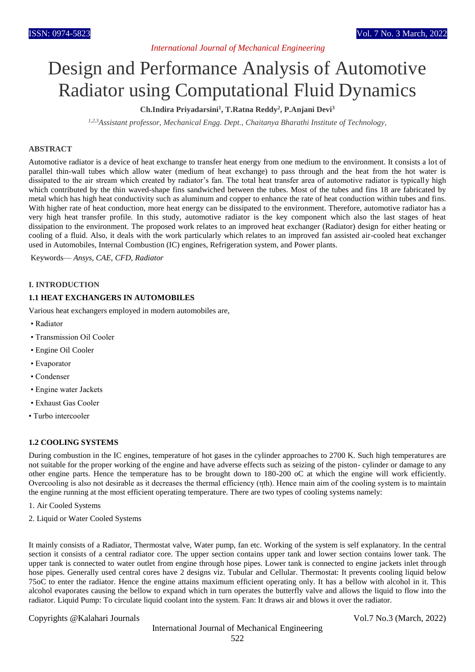# *International Journal of Mechanical Engineering*

# Design and Performance Analysis of Automotive Radiator using Computational Fluid Dynamics

# **Ch.Indira Priyadarsini<sup>1</sup> , T.Ratna Reddy<sup>2</sup> , P.Anjani Devi<sup>3</sup>**

*1,2,3Assistant professor, Mechanical Engg. Dept., Chaitanya Bharathi Institute of Technology,*

## **ABSTRACT**

Automotive radiator is a device of heat exchange to transfer heat energy from one medium to the environment. It consists a lot of parallel thin-wall tubes which allow water (medium of heat exchange) to pass through and the heat from the hot water is dissipated to the air stream which created by radiator's fan. The total heat transfer area of automotive radiator is typically high which contributed by the thin waved-shape fins sandwiched between the tubes. Most of the tubes and fins 18 are fabricated by metal which has high heat conductivity such as aluminum and copper to enhance the rate of heat conduction within tubes and fins. With higher rate of heat conduction, more heat energy can be dissipated to the environment. Therefore, automotive radiator has a very high heat transfer profile. In this study, automotive radiator is the key component which also the last stages of heat dissipation to the environment. The proposed work relates to an improved heat exchanger (Radiator) design for either heating or cooling of a fluid. Also, it deals with the work particularly which relates to an improved fan assisted air-cooled heat exchanger used in Automobiles, Internal Combustion (IC) engines, Refrigeration system, and Power plants.

Keywords— *Ansys, CAE, CFD, Radiator*

#### **I. INTRODUCTION**

## **1.1 HEAT EXCHANGERS IN AUTOMOBILES**

Various heat exchangers employed in modern automobiles are,

- Radiator
- Transmission Oil Cooler
- Engine Oil Cooler
- Evaporator
- Condenser
- Engine water Jackets
- Exhaust Gas Cooler
- Turbo intercooler

#### **1.2 COOLING SYSTEMS**

During combustion in the IC engines, temperature of hot gases in the cylinder approaches to 2700 K. Such high temperatures are not suitable for the proper working of the engine and have adverse effects such as seizing of the piston- cylinder or damage to any other engine parts. Hence the temperature has to be brought down to 180-200 oC at which the engine will work efficiently. Overcooling is also not desirable as it decreases the thermal efficiency (ηth). Hence main aim of the cooling system is to maintain the engine running at the most efficient operating temperature. There are two types of cooling systems namely:

- 1. Air Cooled Systems
- 2. Liquid or Water Cooled Systems

It mainly consists of a Radiator, Thermostat valve, Water pump, fan etc. Working of the system is self explanatory. In the central section it consists of a central radiator core. The upper section contains upper tank and lower section contains lower tank. The upper tank is connected to water outlet from engine through hose pipes. Lower tank is connected to engine jackets inlet through hose pipes. Generally used central cores have 2 designs viz. Tubular and Cellular. Thermostat: It prevents cooling liquid below 75oC to enter the radiator. Hence the engine attains maximum efficient operating only. It has a bellow with alcohol in it. This alcohol evaporates causing the bellow to expand which in turn operates the butterfly valve and allows the liquid to flow into the radiator. Liquid Pump: To circulate liquid coolant into the system. Fan: It draws air and blows it over the radiator.

Copyrights @Kalahari Journals Vol.7 No.3 (March, 2022)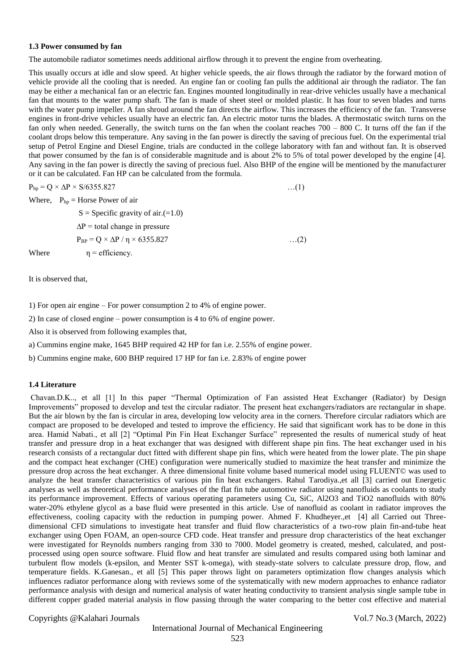#### **1.3 Power consumed by fan**

The automobile radiator sometimes needs additional airflow through it to prevent the engine from overheating.

This usually occurs at idle and slow speed. At higher vehicle speeds, the air flows through the radiator by the forward motion of vehicle provide all the cooling that is needed. An engine fan or cooling fan pulls the additional air through the radiator. The fan may be either a mechanical fan or an electric fan. Engines mounted longitudinally in rear-drive vehicles usually have a mechanical fan that mounts to the water pump shaft. The fan is made of sheet steel or molded plastic. It has four to seven blades and turns with the water pump impeller. A fan shroud around the fan directs the airflow. This increases the efficiency of the fan. Transverse engines in front-drive vehicles usually have an electric fan. An electric motor turns the blades. A thermostatic switch turns on the fan only when needed. Generally, the switch turns on the fan when the coolant reaches  $700 - 800$  C. It turns off the fan if the coolant drops below this temperature. Any saving in the fan power is directly the saving of precious fuel. On the experimental trial setup of Petrol Engine and Diesel Engine, trials are conducted in the college laboratory with fan and without fan. It is observed that power consumed by the fan is of considerable magnitude and is about 2% to 5% of total power developed by the engine [4]. Any saving in the fan power is directly the saving of precious fuel. Also BHP of the engine will be mentioned by the manufacturer or it can be calculated. Fan HP can be calculated from the formula.

| Where, $P_{hp}$ = Horse Power of air                |            |
|-----------------------------------------------------|------------|
|                                                     |            |
| $S =$ Specific gravity of air.(=1.0)                |            |
| $\Delta P$ = total change in pressure               |            |
| $P_{BP} = Q \times \Delta P / \eta \times 6355.827$ | $\dots(2)$ |
| Where<br>$\eta$ = efficiency.                       |            |

It is observed that,

1) For open air engine – For power consumption 2 to 4% of engine power.

2) In case of closed engine – power consumption is 4 to 6% of engine power.

Also it is observed from following examples that,

a) Cummins engine make, 1645 BHP required 42 HP for fan i.e. 2.55% of engine power.

b) Cummins engine make, 600 BHP required 17 HP for fan i.e. 2.83% of engine power

#### **1.4 Literature**

Chavan.D.K.., et all [1] In this paper "Thermal Optimization of Fan assisted Heat Exchanger (Radiator) by Design Improvements" proposed to develop and test the circular radiator. The present heat exchangers/radiators are rectangular in shape. But the air blown by the fan is circular in area, developing low velocity area in the corners. Therefore circular radiators which are compact are proposed to be developed and tested to improve the efficiency. He said that significant work has to be done in this area. Hamid Nabati., et all [2] "Optimal Pin Fin Heat Exchanger Surface" represented the results of numerical study of heat transfer and pressure drop in a heat exchanger that was designed with different shape pin fins. The heat exchanger used in his research consists of a rectangular duct fitted with different shape pin fins, which were heated from the lower plate. The pin shape and the compact heat exchanger (CHE) configuration were numerically studied to maximize the heat transfer and minimize the pressure drop across the heat exchanger. A three dimensional finite volume based numerical model using FLUENT© was used to analyze the heat transfer characteristics of various pin fin heat exchangers. Rahul Tarodiya.,et all [3] carried out Energetic analyses as well as theoretical performance analyses of the flat fin tube automotive radiator using nanofluids as coolants to study its performance improvement. Effects of various operating parameters using Cu, SiC, Al2O3 and TiO2 nanofluids with 80% water-20% ethylene glycol as a base fluid were presented in this article. Use of nanofluid as coolant in radiator improves the effectiveness, cooling capacity with the reduction in pumping power. Ahmed F. Khudheyer.,et [4] all Carried out Threedimensional CFD simulations to investigate heat transfer and fluid flow characteristics of a two-row plain fin-and-tube heat exchanger using Open FOAM, an open-source CFD code. Heat transfer and pressure drop characteristics of the heat exchanger were investigated for Reynolds numbers ranging from 330 to 7000. Model geometry is created, meshed, calculated, and postprocessed using open source software. Fluid flow and heat transfer are simulated and results compared using both laminar and turbulent flow models (k-epsilon, and Menter SST k-omega), with steady-state solvers to calculate pressure drop, flow, and temperature fields. K.Ganesan., et all [5] This paper throws light on parameters optimization flow changes analysis which influences radiator performance along with reviews some of the systematically with new modern approaches to enhance radiator performance analysis with design and numerical analysis of water heating conductivity to transient analysis single sample tube in different copper graded material analysis in flow passing through the water comparing to the better cost effective and material

Copyrights @Kalahari Journals Vol.7 No.3 (March, 2022)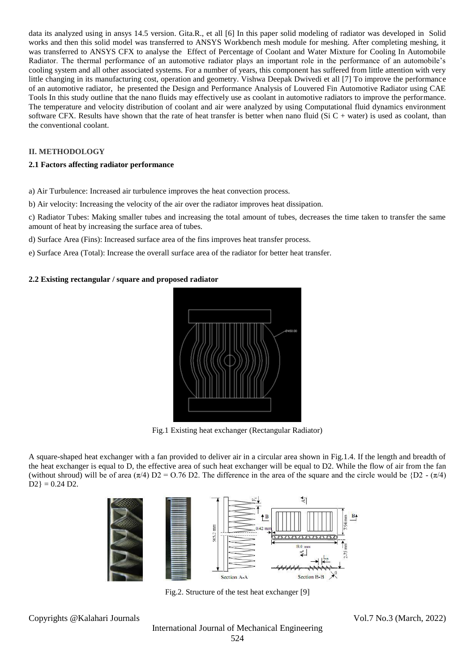data its analyzed using in ansys 14.5 version. Gita.R., et all [6] In this paper solid modeling of radiator was developed in Solid works and then this solid model was transferred to ANSYS Workbench mesh module for meshing. After completing meshing, it was transferred to ANSYS CFX to analyse the Effect of Percentage of Coolant and Water Mixture for Cooling In Automobile Radiator. The thermal performance of an automotive radiator plays an important role in the performance of an automobile's cooling system and all other associated systems. For a number of years, this component has suffered from little attention with very little changing in its manufacturing cost, operation and geometry. Vishwa Deepak Dwivedi et all [7] To improve the performance of an automotive radiator, he presented the Design and Performance Analysis of Louvered Fin Automotive Radiator using CAE Tools In this study outline that the nano fluids may effectively use as coolant in automotive radiators to improve the performance. The temperature and velocity distribution of coolant and air were analyzed by using Computational fluid dynamics environment software CFX. Results have shown that the rate of heat transfer is better when nano fluid (Si  $C +$  water) is used as coolant, than the conventional coolant.

# **II. METHODOLOGY**

## **2.1 Factors affecting radiator performance**

a) Air Turbulence: Increased air turbulence improves the heat convection process.

b) Air velocity: Increasing the velocity of the air over the radiator improves heat dissipation.

c) Radiator Tubes: Making smaller tubes and increasing the total amount of tubes, decreases the time taken to transfer the same amount of heat by increasing the surface area of tubes.

d) Surface Area (Fins): Increased surface area of the fins improves heat transfer process.

e) Surface Area (Total): Increase the overall surface area of the radiator for better heat transfer.

## **2.2 Existing rectangular / square and proposed radiator**



Fig.1 Existing heat exchanger (Rectangular Radiator)

A square-shaped heat exchanger with a fan provided to deliver air in a circular area shown in Fig.1.4. If the length and breadth of the heat exchanger is equal to D, the effective area of such heat exchanger will be equal to D2. While the flow of air from the fan (without shroud) will be of area  $(\pi/4)$  D2 = 0.76 D2. The difference in the area of the square and the circle would be {D2 -  $(\pi/4)$  $D2$ } = 0.24 D2.



Fig.2. Structure of the test heat exchanger [9]

Copyrights @Kalahari Journals Vol.7 No.3 (March, 2022)

International Journal of Mechanical Engineering 524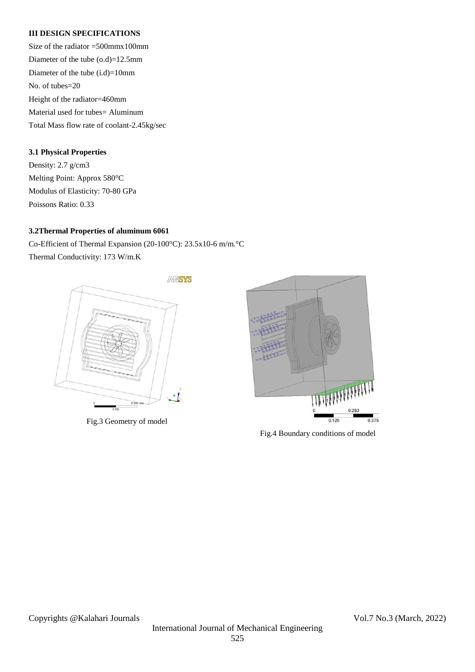# **III DESIGN SPECIFICATIONS**

Size of the radiator =500mmx100mm Diameter of the tube (o.d)=12.5mm Diameter of the tube (i.d)=10mm No. of tubes=20 Height of the radiator=460mm Material used for tubes= Aluminum Total Mass flow rate of coolant-2.45kg/sec

# **3.1 Physical Properties**

Density: 2.7 g/cm3 Melting Point: Approx 580°C Modulus of Elasticity: 70-80 GPa Poissons Ratio: 0.33

# **3.2Thermal Properties of aluminum 6061**

Co-Efficient of Thermal Expansion (20-100°C): 23.5x10-6 m/m.°C Thermal Conductivity: 173 W/m.K



Fig.3 Geometry of model



Fig.4 Boundary conditions of model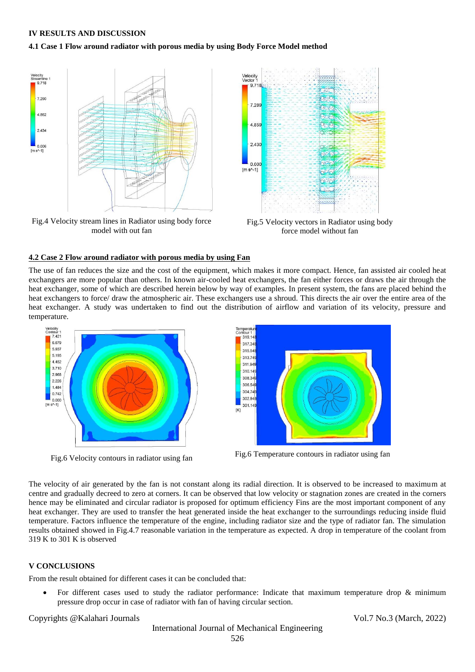#### **IV RESULTS AND DISCUSSION**

#### **4.1 Case 1 Flow around radiator with porous media by using Body Force Model method**



force model without fan

## **4.2 Case 2 Flow around radiator with porous media by using Fan**

model with out fan

The use of fan reduces the size and the cost of the equipment, which makes it more compact. Hence, fan assisted air cooled heat exchangers are more popular than others. In known air-cooled heat exchangers, the fan either forces or draws the air through the heat exchanger, some of which are described herein below by way of examples. In present system, the fans are placed behind the heat exchangers to force/ draw the atmospheric air. These exchangers use a shroud. This directs the air over the entire area of the heat exchanger. A study was undertaken to find out the distribution of airflow and variation of its velocity, pressure and temperature.





The velocity of air generated by the fan is not constant along its radial direction. It is observed to be increased to maximum at centre and gradually decreed to zero at corners. It can be observed that low velocity or stagnation zones are created in the corners hence may be eliminated and circular radiator is proposed for optimum efficiency Fins are the most important component of any heat exchanger. They are used to transfer the heat generated inside the heat exchanger to the surroundings reducing inside fluid temperature. Factors influence the temperature of the engine, including radiator size and the type of radiator fan. The simulation results obtained showed in Fig.4.7 reasonable variation in the temperature as expected. A drop in temperature of the coolant from 319 K to 301 K is observed

## **V CONCLUSIONS**

From the result obtained for different cases it can be concluded that:

For different cases used to study the radiator performance: Indicate that maximum temperature drop & minimum pressure drop occur in case of radiator with fan of having circular section.

#### Copyrights @Kalahari Journals Vol.7 No.3 (March, 2022)